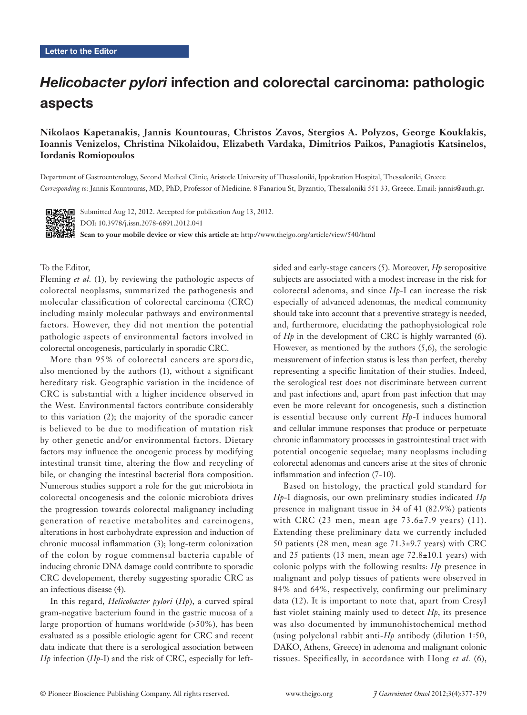# Helicobacter pylori infection and colorectal carcinoma: pathologic aspects

## **Nikolaos Kapetanakis, Jannis Kountouras, Christos Zavos, Stergios A. Polyzos, George Kouklakis, Ioannis Venizelos, Christina Nikolaidou, Elizabeth Vardaka, Dimitrios Paikos, Panagiotis Katsinelos, Iordanis Romiopoulos**

Department of Gastroenterology, Second Medical Clinic, Aristotle University of Thessaloniki, Ippokration Hospital, Thessaloniki, Greece *Corresponding to:* Jannis Kountouras, MD, PhD, Professor of Medicine. 8 Fanariou St, Byzantio, Thessaloniki 551 33, Greece. Email: jannis@auth.gr.



Submitted Aug 12, 2012. Accepted for publication Aug 13, 2012. DOI: 10.3978/j.issn.2078-6891.2012.041

**Scan to your mobile device or view this article at:** http://www.thejgo.org/article/view/540/html

To the Editor,

Fleming *et al.* (1), by reviewing the pathologic aspects of colorectal neoplasms, summarized the pathogenesis and molecular classification of colorectal carcinoma (CRC) including mainly molecular pathways and environmental factors. However, they did not mention the potential pathologic aspects of environmental factors involved in colorectal oncogenesis, particularly in sporadic CRC.

More than 95% of colorectal cancers are sporadic, also mentioned by the authors (1), without a significant hereditary risk. Geographic variation in the incidence of CRC is substantial with a higher incidence observed in the West. Environmental factors contribute considerably to this variation (2); the majority of the sporadic cancer is believed to be due to modification of mutation risk by other genetic and/or environmental factors. Dietary factors may influence the oncogenic process by modifying intestinal transit time, altering the flow and recycling of bile, or changing the intestinal bacterial flora composition. Numerous studies support a role for the gut microbiota in colorectal oncogenesis and the colonic microbiota drives the progression towards colorectal malignancy including generation of reactive metabolites and carcinogens, alterations in host carbohydrate expression and induction of chronic mucosal inflammation (3); long-term colonization of the colon by rogue commensal bacteria capable of inducing chronic DNA damage could contribute to sporadic CRC developement, thereby suggesting sporadic CRC as an infectious disease (4).

In this regard, *Helicobacter pylori* (*Hp*), a curved spiral gram-negative bacterium found in the gastric mucosa of a large proportion of humans worldwide (>50%), has been evaluated as a possible etiologic agent for CRC and recent data indicate that there is a serological association between *Hp* infection (*Hp*-I) and the risk of CRC, especially for leftsided and early-stage cancers (5). Moreover, *Hp* seropositive subjects are associated with a modest increase in the risk for colorectal adenoma, and since *Hp*-I can increase the risk especially of advanced adenomas, the medical community should take into account that a preventive strategy is needed, and, furthermore, elucidating the pathophysiological role of *Hp* in the development of CRC is highly warranted (6). However, as mentioned by the authors (5,6), the serologic measurement of infection status is less than perfect, thereby representing a specific limitation of their studies. Indeed, the serological test does not discriminate between current and past infections and, apart from past infection that may even be more relevant for oncogenesis, such a distinction is essential because only current *Hp*-I induces humoral and cellular immune responses that produce or perpetuate chronic inflammatory processes in gastrointestinal tract with potential oncogenic sequelae; many neoplasms including colorectal adenomas and cancers arise at the sites of chronic inflammation and infection (7-10).

Based on histology, the practical gold standard for *Hp*-I diagnosis, our own preliminary studies indicated *Hp* presence in malignant tissue in 34 of 41 (82.9%) patients with CRC (23 men, mean age  $73.6\pm7.9$  years) (11). Extending these preliminary data we currently included 50 patients (28 men, mean age 71.3±9.7 years) with CRC and 25 patients (13 men, mean age 72.8±10.1 years) with colonic polyps with the following results: *Hp* presence in malignant and polyp tissues of patients were observed in 84% and 64%, respectively, confirming our preliminary data (12). It is important to note that, apart from Cresyl fast violet staining mainly used to detect *Hp*, its presence was also documented by immunohistochemical method (using polyclonal rabbit anti-*Hp* antibody (dilution 1:50, DAKO, Athens, Greece) in adenoma and malignant colonic tissues. Specifically, in accordance with Hong *et al.* (6),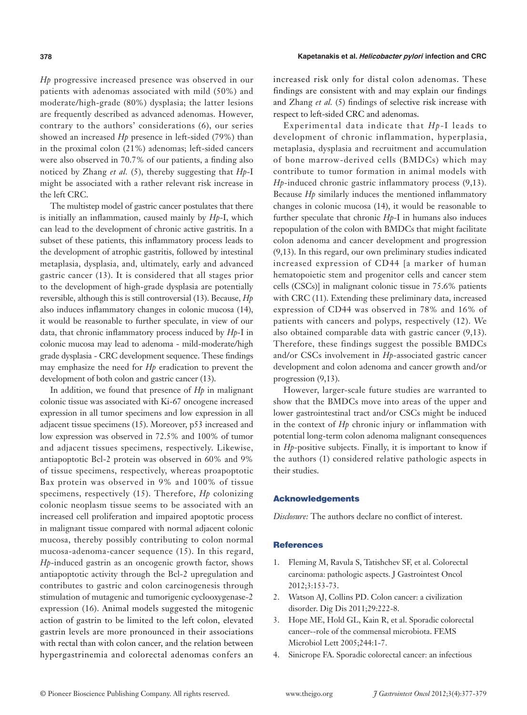*Hp* progressive increased presence was observed in our patients with adenomas associated with mild (50%) and moderate/high-grade (80%) dysplasia; the latter lesions are frequently described as advanced adenomas. However, contrary to the authors' considerations (6), our series showed an increased *Hp* presence in left-sided (79%) than in the proximal colon (21%) adenomas; left-sided cancers were also observed in 70.7% of our patients, a finding also noticed by Zhang *et al.* (5), thereby suggesting that *Hp*-I might be associated with a rather relevant risk increase in the left CRC.

The multistep model of gastric cancer postulates that there is initially an inflammation, caused mainly by *Hp*-I, which can lead to the development of chronic active gastritis. In a subset of these patients, this inflammatory process leads to the development of atrophic gastritis, followed by intestinal metaplasia, dysplasia, and, ultimately, early and advanced gastric cancer (13). It is considered that all stages prior to the development of high-grade dysplasia are potentially reversible, although this is still controversial (13). Because, *Hp*  also induces inflammatory changes in colonic mucosa (14), it would be reasonable to further speculate, in view of our data, that chronic inflammatory process induced by *Hp*-I in colonic mucosa may lead to adenoma - mild-moderate/high grade dysplasia - CRC development sequence. These findings may emphasize the need for *Hp* eradication to prevent the development of both colon and gastric cancer (13).

In addition, we found that presence of *Hp* in malignant colonic tissue was associated with Ki-67 oncogene increased expression in all tumor specimens and low expression in all adjacent tissue specimens (15). Moreover, p53 increased and low expression was observed in 72.5% and 100% of tumor and adjacent tissues specimens, respectively. Likewise, antiapoptotic Bcl-2 protein was observed in 60% and 9% of tissue specimens, respectively, whereas proapoptotic Bax protein was observed in 9% and 100% of tissue specimens, respectively (15). Therefore, *Hp* colonizing colonic neoplasm tissue seems to be associated with an increased cell proliferation and impaired apoptotic process in malignant tissue compared with normal adjacent colonic mucosa, thereby possibly contributing to colon normal mucosa-adenoma-cancer sequence (15). In this regard, *Hp*-induced gastrin as an oncogenic growth factor, shows antiapoptotic activity through the Bcl-2 upregulation and contributes to gastric and colon carcinogenesis through stimulation of mutagenic and tumorigenic cyclooxygenase-2 expression (16). Animal models suggested the mitogenic action of gastrin to be limited to the left colon, elevated gastrin levels are more pronounced in their associations with rectal than with colon cancer, and the relation between hypergastrinemia and colorectal adenomas confers an increased risk only for distal colon adenomas. These findings are consistent with and may explain our findings and Zhang *et al.* (5) findings of selective risk increase with respect to left-sided CRC and adenomas.

Experimental data indicate that *Hp-*I leads to development of chronic inflammation, hyperplasia, metaplasia, dysplasia and recruitment and accumulation of bone marrow-derived cells (BMDCs) which may contribute to tumor formation in animal models with *Hp*-induced chronic gastric inflammatory process (9,13). Because *Hp* similarly induces the mentioned inflammatory changes in colonic mucosa (14), it would be reasonable to further speculate that chronic *Hp-*I in humans also induces repopulation of the colon with BMDCs that might facilitate colon adenoma and cancer development and progression (9,13). In this regard, our own preliminary studies indicated increased expression of CD44 [a marker of human hematopoietic stem and progenitor cells and cancer stem cells (CSCs)] in malignant colonic tissue in 75.6% patients with CRC (11). Extending these preliminary data, increased expression of CD44 was observed in 78% and 16% of patients with cancers and polyps, respectively (12). We also obtained comparable data with gastric cancer (9,13). Therefore, these findings suggest the possible BMDCs and/or CSCs involvement in *Hp*-associated gastric cancer development and colon adenoma and cancer growth and/or progression (9,13).

However, larger-scale future studies are warranted to show that the BMDCs move into areas of the upper and lower gastrointestinal tract and/or CSCs might be induced in the context of *Hp* chronic injury or inflammation with potential long-term colon adenoma malignant consequences in *Hp-*positive subjects. Finally, it is important to know if the authors (1) considered relative pathologic aspects in their studies.

### Acknowledgements

*Disclosure:* The authors declare no conflict of interest.

#### **References**

- 1. Fleming M, Ravula S, Tatishchev SF, et al. Colorectal carcinoma: pathologic aspects. J Gastrointest Oncol 2012;3:153-73.
- 2. Watson AJ, Collins PD. Colon cancer: a civilization disorder. Dig Dis 2011;29:222-8.
- 3. Hope ME, Hold GL, Kain R, et al. Sporadic colorectal cancer--role of the commensal microbiota. FEMS Microbiol Lett 2005;244:1-7.
- 4. Sinicrope FA. Sporadic colorectal cancer: an infectious